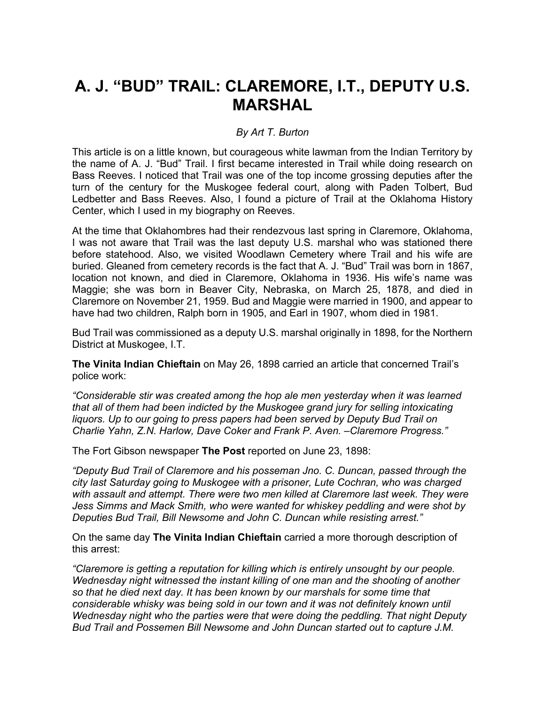# **A. J. "BUD" TRAIL: CLAREMORE, I.T., DEPUTY U.S. MARSHAL**

#### *By Art T. Burton*

This article is on a little known, but courageous white lawman from the Indian Territory by the name of A. J. "Bud" Trail. I first became interested in Trail while doing research on Bass Reeves. I noticed that Trail was one of the top income grossing deputies after the turn of the century for the Muskogee federal court, along with Paden Tolbert, Bud Ledbetter and Bass Reeves. Also, I found a picture of Trail at the Oklahoma History Center, which I used in my biography on Reeves.

At the time that Oklahombres had their rendezvous last spring in Claremore, Oklahoma, I was not aware that Trail was the last deputy U.S. marshal who was stationed there before statehood. Also, we visited Woodlawn Cemetery where Trail and his wife are buried. Gleaned from cemetery records is the fact that A. J. "Bud" Trail was born in 1867, location not known, and died in Claremore, Oklahoma in 1936. His wife's name was Maggie; she was born in Beaver City, Nebraska, on March 25, 1878, and died in Claremore on November 21, 1959. Bud and Maggie were married in 1900, and appear to have had two children, Ralph born in 1905, and Earl in 1907, whom died in 1981.

Bud Trail was commissioned as a deputy U.S. marshal originally in 1898, for the Northern District at Muskogee, I.T.

**The Vinita Indian Chieftain** on May 26, 1898 carried an article that concerned Trail's police work:

*"Considerable stir was created among the hop ale men yesterday when it was learned that all of them had been indicted by the Muskogee grand jury for selling intoxicating*  liquors. Up to our going to press papers had been served by Deputy Bud Trail on *Charlie Yahn, Z.N. Harlow, Dave Coker and Frank P. Aven. –Claremore Progress."*

The Fort Gibson newspaper **The Post** reported on June 23, 1898:

*"Deputy Bud Trail of Claremore and his posseman Jno. C. Duncan, passed through the city last Saturday going to Muskogee with a prisoner, Lute Cochran, who was charged*  with assault and attempt. There were two men killed at Claremore last week. They were *Jess Simms and Mack Smith, who were wanted for whiskey peddling and were shot by Deputies Bud Trail, Bill Newsome and John C. Duncan while resisting arrest."*

On the same day **The Vinita Indian Chieftain** carried a more thorough description of this arrest:

*"Claremore is getting a reputation for killing which is entirely unsought by our people. Wednesday night witnessed the instant killing of one man and the shooting of another so that he died next day. It has been known by our marshals for some time that considerable whisky was being sold in our town and it was not definitely known until Wednesday night who the parties were that were doing the peddling. That night Deputy Bud Trail and Possemen Bill Newsome and John Duncan started out to capture J.M.*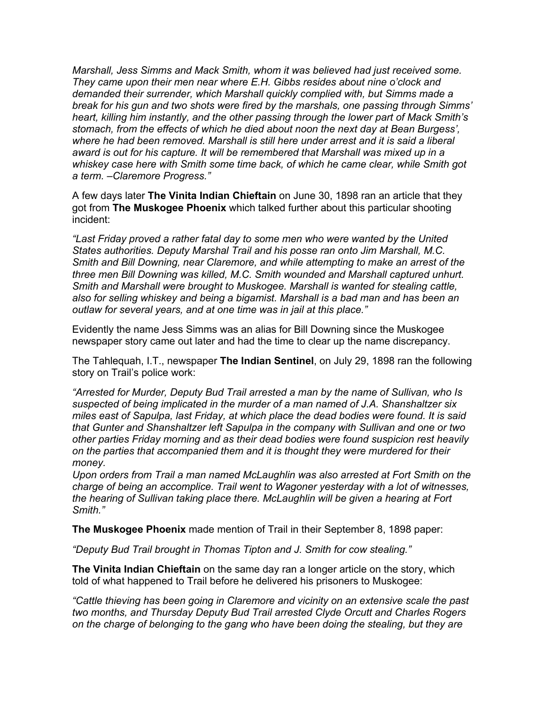*Marshall, Jess Simms and Mack Smith, whom it was believed had just received some. They came upon their men near where E.H. Gibbs resides about nine o'clock and demanded their surrender, which Marshall quickly complied with, but Simms made a break for his gun and two shots were fired by the marshals, one passing through Simms' heart, killing him instantly, and the other passing through the lower part of Mack Smith's stomach, from the effects of which he died about noon the next day at Bean Burgess', where he had been removed. Marshall is still here under arrest and it is said a liberal award is out for his capture. It will be remembered that Marshall was mixed up in a*  whiskey case here with Smith some time back, of which he came clear, while Smith got *a term. –Claremore Progress."*

A few days later **The Vinita Indian Chieftain** on June 30, 1898 ran an article that they got from **The Muskogee Phoenix** which talked further about this particular shooting incident:

*"Last Friday proved a rather fatal day to some men who were wanted by the United States authorities. Deputy Marshal Trail and his posse ran onto Jim Marshall, M.C. Smith and Bill Downing, near Claremore, and while attempting to make an arrest of the three men Bill Downing was killed, M.C. Smith wounded and Marshall captured unhurt. Smith and Marshall were brought to Muskogee. Marshall is wanted for stealing cattle, also for selling whiskey and being a bigamist. Marshall is a bad man and has been an outlaw for several years, and at one time was in jail at this place."*

Evidently the name Jess Simms was an alias for Bill Downing since the Muskogee newspaper story came out later and had the time to clear up the name discrepancy.

The Tahlequah, I.T., newspaper **The Indian Sentinel**, on July 29, 1898 ran the following story on Trail's police work:

*"Arrested for Murder, Deputy Bud Trail arrested a man by the name of Sullivan, who Is suspected of being implicated in the murder of a man named of J.A. Shanshaltzer six miles east of Sapulpa, last Friday, at which place the dead bodies were found. It is said that Gunter and Shanshaltzer left Sapulpa in the company with Sullivan and one or two other parties Friday morning and as their dead bodies were found suspicion rest heavily on the parties that accompanied them and it is thought they were murdered for their money.*

*Upon orders from Trail a man named McLaughlin was also arrested at Fort Smith on the charge of being an accomplice. Trail went to Wagoner yesterday with a lot of witnesses, the hearing of Sullivan taking place there. McLaughlin will be given a hearing at Fort Smith."*

**The Muskogee Phoenix** made mention of Trail in their September 8, 1898 paper:

*"Deputy Bud Trail brought in Thomas Tipton and J. Smith for cow stealing."*

**The Vinita Indian Chieftain** on the same day ran a longer article on the story, which told of what happened to Trail before he delivered his prisoners to Muskogee:

*"Cattle thieving has been going in Claremore and vicinity on an extensive scale the past two months, and Thursday Deputy Bud Trail arrested Clyde Orcutt and Charles Rogers on the charge of belonging to the gang who have been doing the stealing, but they are*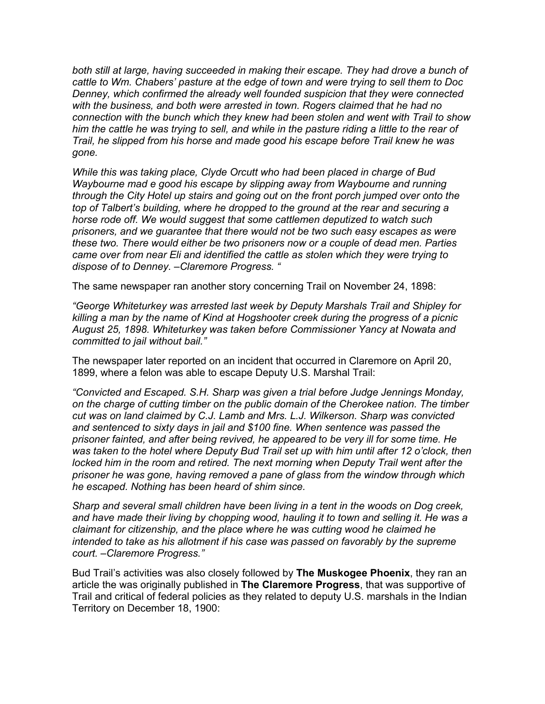*both still at large, having succeeded in making their escape. They had drove a bunch of cattle to Wm. Chabers' pasture at the edge of town and were trying to sell them to Doc Denney, which confirmed the already well founded suspicion that they were connected with the business, and both were arrested in town. Rogers claimed that he had no connection with the bunch which they knew had been stolen and went with Trail to show*  him the cattle he was trying to sell, and while in the pasture riding a little to the rear of *Trail, he slipped from his horse and made good his escape before Trail knew he was gone.*

*While this was taking place, Clyde Orcutt who had been placed in charge of Bud Waybourne mad e good his escape by slipping away from Waybourne and running through the City Hotel up stairs and going out on the front porch jumped over onto the top of Talbert's building, where he dropped to the ground at the rear and securing a horse rode off. We would suggest that some cattlemen deputized to watch such prisoners, and we guarantee that there would not be two such easy escapes as were these two. There would either be two prisoners now or a couple of dead men. Parties came over from near Eli and identified the cattle as stolen which they were trying to dispose of to Denney. –Claremore Progress. "*

The same newspaper ran another story concerning Trail on November 24, 1898:

*"George Whiteturkey was arrested last week by Deputy Marshals Trail and Shipley for killing a man by the name of Kind at Hogshooter creek during the progress of a picnic August 25, 1898. Whiteturkey was taken before Commissioner Yancy at Nowata and committed to jail without bail."*

The newspaper later reported on an incident that occurred in Claremore on April 20, 1899, where a felon was able to escape Deputy U.S. Marshal Trail:

*"Convicted and Escaped. S.H. Sharp was given a trial before Judge Jennings Monday, on the charge of cutting timber on the public domain of the Cherokee nation. The timber cut was on land claimed by C.J. Lamb and Mrs. L.J. Wilkerson. Sharp was convicted and sentenced to sixty days in jail and \$100 fine. When sentence was passed the prisoner fainted, and after being revived, he appeared to be very ill for some time. He was taken to the hotel where Deputy Bud Trail set up with him until after 12 o'clock, then locked him in the room and retired. The next morning when Deputy Trail went after the prisoner he was gone, having removed a pane of glass from the window through which he escaped. Nothing has been heard of shim since.*

*Sharp and several small children have been living in a tent in the woods on Dog creek,*  and have made their living by chopping wood, hauling it to town and selling it. He was a *claimant for citizenship, and the place where he was cutting wood he claimed he intended to take as his allotment if his case was passed on favorably by the supreme court. –Claremore Progress."*

Bud Trail's activities was also closely followed by **The Muskogee Phoenix**, they ran an article the was originally published in **The Claremore Progress**, that was supportive of Trail and critical of federal policies as they related to deputy U.S. marshals in the Indian Territory on December 18, 1900: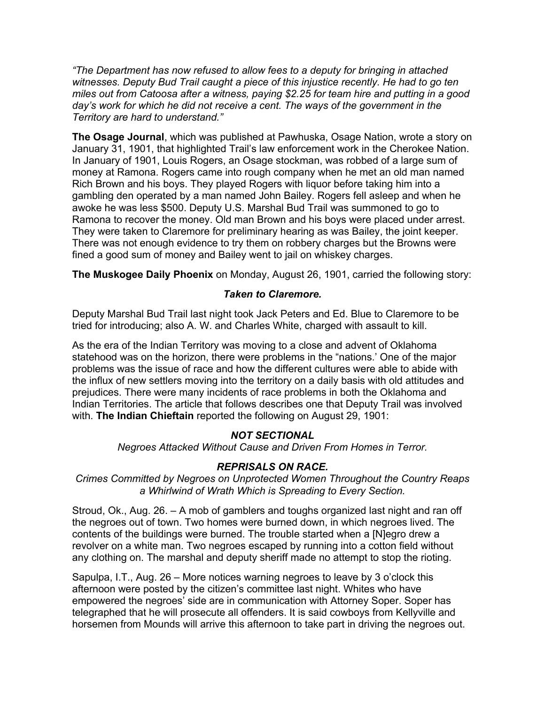*"The Department has now refused to allow fees to a deputy for bringing in attached witnesses. Deputy Bud Trail caught a piece of this injustice recently. He had to go ten miles out from Catoosa after a witness, paying \$2.25 for team hire and putting in a good*  day's work for which he did not receive a cent. The ways of the government in the *Territory are hard to understand."*

**The Osage Journal**, which was published at Pawhuska, Osage Nation, wrote a story on January 31, 1901, that highlighted Trail's law enforcement work in the Cherokee Nation. In January of 1901, Louis Rogers, an Osage stockman, was robbed of a large sum of money at Ramona. Rogers came into rough company when he met an old man named Rich Brown and his boys. They played Rogers with liquor before taking him into a gambling den operated by a man named John Bailey. Rogers fell asleep and when he awoke he was less \$500. Deputy U.S. Marshal Bud Trail was summoned to go to Ramona to recover the money. Old man Brown and his boys were placed under arrest. They were taken to Claremore for preliminary hearing as was Bailey, the joint keeper. There was not enough evidence to try them on robbery charges but the Browns were fined a good sum of money and Bailey went to jail on whiskey charges.

**The Muskogee Daily Phoenix** on Monday, August 26, 1901, carried the following story:

### *Taken to Claremore.*

Deputy Marshal Bud Trail last night took Jack Peters and Ed. Blue to Claremore to be tried for introducing; also A. W. and Charles White, charged with assault to kill.

As the era of the Indian Territory was moving to a close and advent of Oklahoma statehood was on the horizon, there were problems in the "nations.' One of the major problems was the issue of race and how the different cultures were able to abide with the influx of new settlers moving into the territory on a daily basis with old attitudes and prejudices. There were many incidents of race problems in both the Oklahoma and Indian Territories. The article that follows describes one that Deputy Trail was involved with. **The Indian Chieftain** reported the following on August 29, 1901:

## *NOT SECTIONAL*

*Negroes Attacked Without Cause and Driven From Homes in Terror.*

## *REPRISALS ON RACE.*

*Crimes Committed by Negroes on Unprotected Women Throughout the Country Reaps a Whirlwind of Wrath Which is Spreading to Every Section.*

Stroud, Ok., Aug. 26. – A mob of gamblers and toughs organized last night and ran off the negroes out of town. Two homes were burned down, in which negroes lived. The contents of the buildings were burned. The trouble started when a [N]egro drew a revolver on a white man. Two negroes escaped by running into a cotton field without any clothing on. The marshal and deputy sheriff made no attempt to stop the rioting.

Sapulpa, I.T., Aug. 26 – More notices warning negroes to leave by 3 o'clock this afternoon were posted by the citizen's committee last night. Whites who have empowered the negroes' side are in communication with Attorney Soper. Soper has telegraphed that he will prosecute all offenders. It is said cowboys from Kellyville and horsemen from Mounds will arrive this afternoon to take part in driving the negroes out.